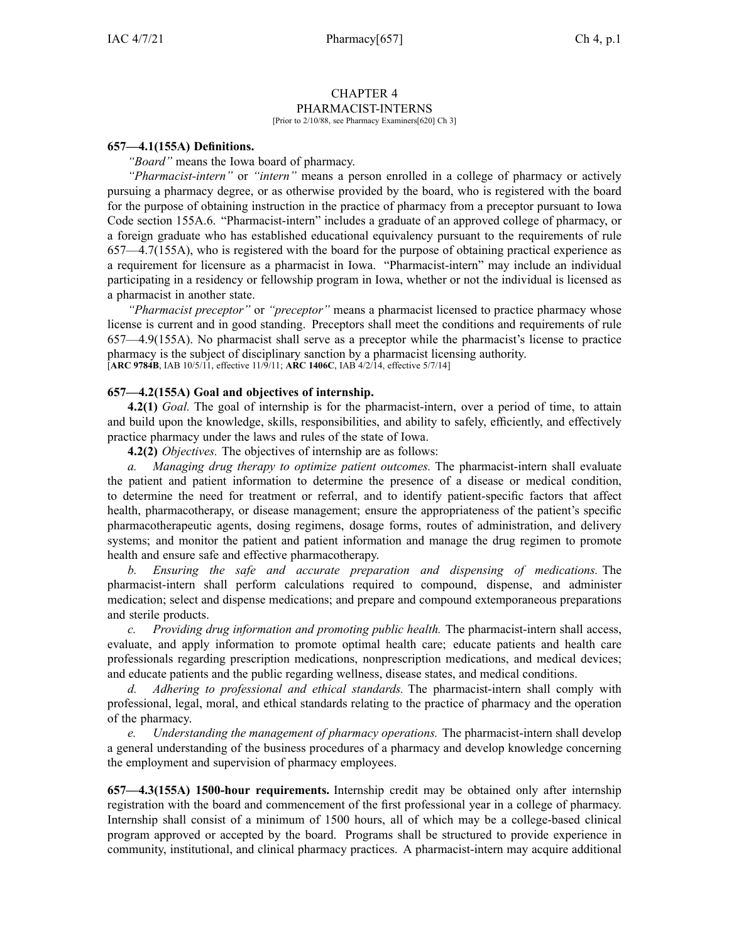# CHAPTER 4 PHARMACIST-INTERNS

[Prior to 2/10/88, see Pharmacy Examiners[620] Ch 3]

## **657—4.1(155A) Definitions.**

*"Board"* means the Iowa board of pharmacy.

*"Pharmacist-intern"* or *"intern"* means <sup>a</sup> person enrolled in <sup>a</sup> college of pharmacy or actively pursuing <sup>a</sup> pharmacy degree, or as otherwise provided by the board, who is registered with the board for the purpose of obtaining instruction in the practice of pharmacy from <sup>a</sup> preceptor pursuan<sup>t</sup> to Iowa Code section [155A.6](https://www.legis.iowa.gov/docs/ico/section/155A.6.pdf). "Pharmacist-intern" includes <sup>a</sup> graduate of an approved college of pharmacy, or <sup>a</sup> foreign graduate who has established educational equivalency pursuan<sup>t</sup> to the requirements of rule [657—4.7\(](https://www.legis.iowa.gov/docs/iac/rule/657.4.7.pdf)155A), who is registered with the board for the purpose of obtaining practical experience as <sup>a</sup> requirement for licensure as <sup>a</sup> pharmacist in Iowa. "Pharmacist-intern" may include an individual participating in <sup>a</sup> residency or fellowship program in Iowa, whether or not the individual is licensed as <sup>a</sup> pharmacist in another state.

*"Pharmacist preceptor"* or *"preceptor"* means <sup>a</sup> pharmacist licensed to practice pharmacy whose license is current and in good standing. Preceptors shall meet the conditions and requirements of rule [657—4.9\(](https://www.legis.iowa.gov/docs/iac/rule/657.4.9.pdf)155A). No pharmacist shall serve as <sup>a</sup> preceptor while the pharmacist's license to practice pharmacy is the subject of disciplinary sanction by <sup>a</sup> pharmacist licensing authority. [**ARC [9784B](https://www.legis.iowa.gov/docs/aco/arc/9784B.pdf)**, IAB 10/5/11, effective 11/9/11; **ARC [1406C](https://www.legis.iowa.gov/docs/aco/arc/1406C.pdf)**, IAB 4/2/14, effective 5/7/14]

### **657—4.2(155A) Goal and objectives of internship.**

**4.2(1)** *Goal.* The goal of internship is for the pharmacist-intern, over <sup>a</sup> period of time, to attain and build upon the knowledge, skills, responsibilities, and ability to safely, efficiently, and effectively practice pharmacy under the laws and rules of the state of Iowa.

**4.2(2)** *Objectives.* The objectives of internship are as follows:

*a. Managing drug therapy to optimize patient outcomes.* The pharmacist-intern shall evaluate the patient and patient information to determine the presence of <sup>a</sup> disease or medical condition, to determine the need for treatment or referral, and to identify patient-specific factors that affect health, pharmacotherapy, or disease management; ensure the appropriateness of the patient's specific pharmacotherapeutic agents, dosing regimens, dosage forms, routes of administration, and delivery systems; and monitor the patient and patient information and manage the drug regimen to promote health and ensure safe and effective pharmacotherapy.

*b. Ensuring the safe and accurate preparation and dispensing of medications.* The pharmacist-intern shall perform calculations required to compound, dispense, and administer medication; select and dispense medications; and prepare and compound extemporaneous preparations and sterile products.

*c. Providing drug information and promoting public health.* The pharmacist-intern shall access, evaluate, and apply information to promote optimal health care; educate patients and health care professionals regarding prescription medications, nonprescription medications, and medical devices; and educate patients and the public regarding wellness, disease states, and medical conditions.

*d. Adhering to professional and ethical standards.* The pharmacist-intern shall comply with professional, legal, moral, and ethical standards relating to the practice of pharmacy and the operation of the pharmacy.

*e. Understanding the managemen<sup>t</sup> of pharmacy operations.* The pharmacist-intern shall develop <sup>a</sup> general understanding of the business procedures of <sup>a</sup> pharmacy and develop knowledge concerning the employment and supervision of pharmacy employees.

**657—4.3(155A) 1500-hour requirements.** Internship credit may be obtained only after internship registration with the board and commencement of the first professional year in <sup>a</sup> college of pharmacy. Internship shall consist of <sup>a</sup> minimum of 1500 hours, all of which may be <sup>a</sup> college-based clinical program approved or accepted by the board. Programs shall be structured to provide experience in community, institutional, and clinical pharmacy practices. A pharmacist-intern may acquire additional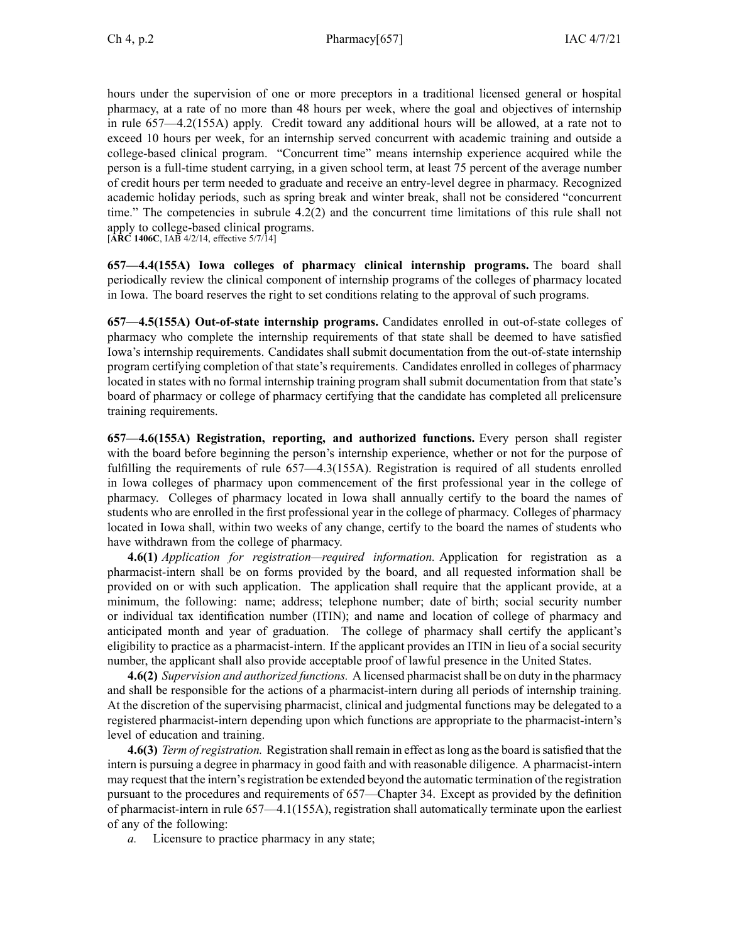hours under the supervision of one or more preceptors in <sup>a</sup> traditional licensed general or hospital pharmacy, at <sup>a</sup> rate of no more than 48 hours per week, where the goal and objectives of internship in rule [657—4.2](https://www.legis.iowa.gov/docs/iac/rule/657.4.2.pdf)(155A) apply. Credit toward any additional hours will be allowed, at <sup>a</sup> rate not to exceed 10 hours per week, for an internship served concurrent with academic training and outside <sup>a</sup> college-based clinical program. "Concurrent time" means internship experience acquired while the person is <sup>a</sup> full-time student carrying, in <sup>a</sup> given school term, at least 75 percen<sup>t</sup> of the average number of credit hours per term needed to graduate and receive an entry-level degree in pharmacy. Recognized academic holiday periods, such as spring break and winter break, shall not be considered "concurrent time." The competencies in subrule [4.2\(2\)](https://www.legis.iowa.gov/docs/iac/rule/657.4.2.pdf) and the concurrent time limitations of this rule shall not apply to college-based clinical programs.

[**ARC [1406C](https://www.legis.iowa.gov/docs/aco/arc/1406C.pdf)**, IAB 4/2/14, effective 5/7/14]

**657—4.4(155A) Iowa colleges of pharmacy clinical internship programs.** The board shall periodically review the clinical componen<sup>t</sup> of internship programs of the colleges of pharmacy located in Iowa. The board reserves the right to set conditions relating to the approval of such programs.

**657—4.5(155A) Out-of-state internship programs.** Candidates enrolled in out-of-state colleges of pharmacy who complete the internship requirements of that state shall be deemed to have satisfied Iowa's internship requirements. Candidates shall submit documentation from the out-of-state internship program certifying completion of that state's requirements. Candidates enrolled in colleges of pharmacy located in states with no formal internship training program shall submit documentation from that state's board of pharmacy or college of pharmacy certifying that the candidate has completed all prelicensure training requirements.

**657—4.6(155A) Registration, reporting, and authorized functions.** Every person shall register with the board before beginning the person's internship experience, whether or not for the purpose of fulfilling the requirements of rule [657—4.3](https://www.legis.iowa.gov/docs/iac/rule/657.4.3.pdf)(155A). Registration is required of all students enrolled in Iowa colleges of pharmacy upon commencement of the first professional year in the college of pharmacy. Colleges of pharmacy located in Iowa shall annually certify to the board the names of students who are enrolled in the first professional year in the college of pharmacy. Colleges of pharmacy located in Iowa shall, within two weeks of any change, certify to the board the names of students who have withdrawn from the college of pharmacy.

**4.6(1)** *Application for registration—required information.* Application for registration as <sup>a</sup> pharmacist-intern shall be on forms provided by the board, and all requested information shall be provided on or with such application. The application shall require that the applicant provide, at <sup>a</sup> minimum, the following: name; address; telephone number; date of birth; social security number or individual tax identification number (ITIN); and name and location of college of pharmacy and anticipated month and year of graduation. The college of pharmacy shall certify the applicant's eligibility to practice as <sup>a</sup> pharmacist-intern. If the applicant provides an ITIN in lieu of <sup>a</sup> social security number, the applicant shall also provide acceptable proof of lawful presence in the United States.

**4.6(2)** *Supervision and authorized functions.* A licensed pharmacistshall be on duty in the pharmacy and shall be responsible for the actions of <sup>a</sup> pharmacist-intern during all periods of internship training. At the discretion of the supervising pharmacist, clinical and judgmental functions may be delegated to <sup>a</sup> registered pharmacist-intern depending upon which functions are appropriate to the pharmacist-intern's level of education and training.

**4.6(3)** *Term ofregistration.* Registration shall remain in effect aslong asthe board issatisfied that the intern is pursuing <sup>a</sup> degree in pharmacy in good faith and with reasonable diligence. A pharmacist-intern may request that the intern's registration be extended beyond the automatic termination of the registration pursuan<sup>t</sup> to the procedures and requirements of [657—Chapter](https://www.legis.iowa.gov/docs/iac/chapter/657.34.pdf) 34. Except as provided by the definition of pharmacist-intern in rule [657—4.1](https://www.legis.iowa.gov/docs/iac/rule/657.4.1.pdf)(155A), registration shall automatically terminate upon the earliest of any of the following:

*a.* Licensure to practice pharmacy in any state;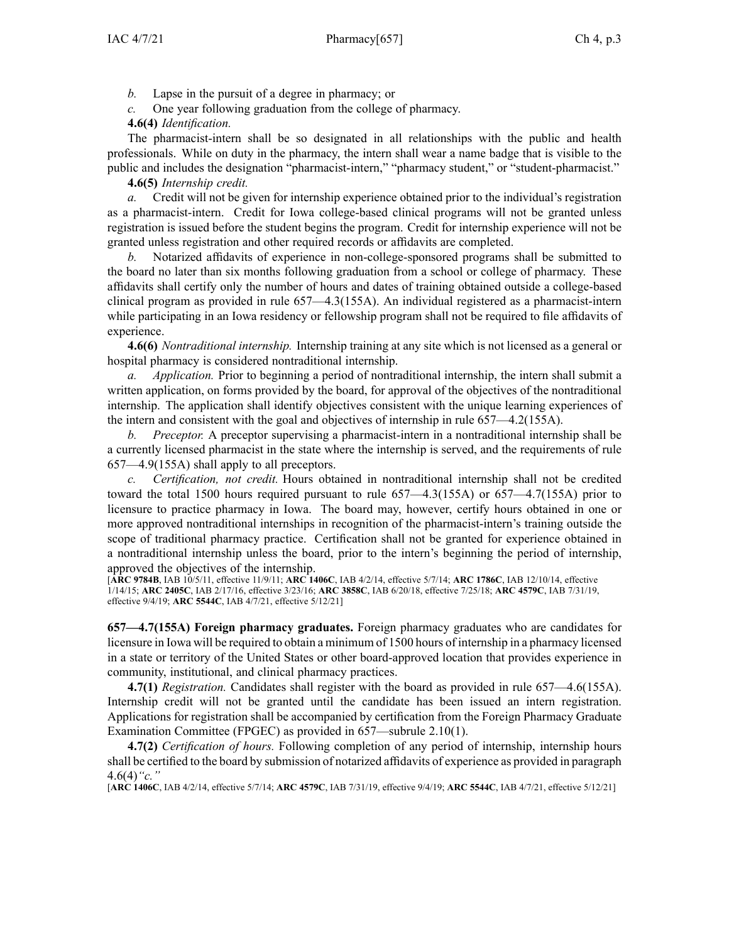*b.* Lapse in the pursuit of <sup>a</sup> degree in pharmacy; or

*c.* One year following graduation from the college of pharmacy.

**4.6(4)** *Identification.*

The pharmacist-intern shall be so designated in all relationships with the public and health professionals. While on duty in the pharmacy, the intern shall wear <sup>a</sup> name badge that is visible to the public and includes the designation "pharmacist-intern," "pharmacy student," or "student-pharmacist."

**4.6(5)** *Internship credit.*

*a.* Credit will not be given for internship experience obtained prior to the individual's registration as <sup>a</sup> pharmacist-intern. Credit for Iowa college-based clinical programs will not be granted unless registration is issued before the student begins the program. Credit for internship experience will not be granted unless registration and other required records or affidavits are completed.

*b.* Notarized affidavits of experience in non-college-sponsored programs shall be submitted to the board no later than six months following graduation from <sup>a</sup> school or college of pharmacy. These affidavits shall certify only the number of hours and dates of training obtained outside <sup>a</sup> college-based clinical program as provided in rule [657—4.3](https://www.legis.iowa.gov/docs/iac/rule/657.4.3.pdf)(155A). An individual registered as <sup>a</sup> pharmacist-intern while participating in an Iowa residency or fellowship program shall not be required to file affidavits of experience.

**4.6(6)** *Nontraditional internship.* Internship training at any site which is not licensed as <sup>a</sup> general or hospital pharmacy is considered nontraditional internship.

*a. Application.* Prior to beginning <sup>a</sup> period of nontraditional internship, the intern shall submit <sup>a</sup> written application, on forms provided by the board, for approval of the objectives of the nontraditional internship. The application shall identify objectives consistent with the unique learning experiences of the intern and consistent with the goal and objectives of internship in rule [657—4.2](https://www.legis.iowa.gov/docs/iac/rule/657.4.2.pdf)(155A).

*b. Preceptor.* A preceptor supervising <sup>a</sup> pharmacist-intern in <sup>a</sup> nontraditional internship shall be <sup>a</sup> currently licensed pharmacist in the state where the internship is served, and the requirements of rule [657—4.9\(](https://www.legis.iowa.gov/docs/iac/rule/657.4.9.pdf)155A) shall apply to all preceptors.

*c. Certification, not credit.* Hours obtained in nontraditional internship shall not be credited toward the total 1500 hours required pursuan<sup>t</sup> to rule [657—4.3](https://www.legis.iowa.gov/docs/iac/rule/657.4.3.pdf)(155A) or [657—4.7](https://www.legis.iowa.gov/docs/iac/rule/657.4.7.pdf)(155A) prior to licensure to practice pharmacy in Iowa. The board may, however, certify hours obtained in one or more approved nontraditional internships in recognition of the pharmacist-intern's training outside the scope of traditional pharmacy practice. Certification shall not be granted for experience obtained in <sup>a</sup> nontraditional internship unless the board, prior to the intern's beginning the period of internship, approved the objectives of the internship.

[**ARC [9784B](https://www.legis.iowa.gov/docs/aco/arc/9784B.pdf)**, IAB 10/5/11, effective 11/9/11; **ARC [1406C](https://www.legis.iowa.gov/docs/aco/arc/1406C.pdf)**, IAB 4/2/14, effective 5/7/14; **ARC [1786C](https://www.legis.iowa.gov/docs/aco/arc/1786C.pdf)**, IAB 12/10/14, effective 1/14/15; **ARC [2405C](https://www.legis.iowa.gov/docs/aco/arc/2405C.pdf)**, IAB 2/17/16, effective 3/23/16; **ARC [3858C](https://www.legis.iowa.gov/docs/aco/arc/3858C.pdf)**, IAB 6/20/18, effective 7/25/18; **ARC [4579C](https://www.legis.iowa.gov/docs/aco/arc/4579C.pdf)**, IAB 7/31/19, effective 9/4/19; **ARC [5544C](https://www.legis.iowa.gov/docs/aco/arc/5544C.pdf)**, IAB 4/7/21, effective 5/12/21]

**657—4.7(155A) Foreign pharmacy graduates.** Foreign pharmacy graduates who are candidates for licensure in Iowa will be required to obtain <sup>a</sup> minimum of 1500 hours of internship in <sup>a</sup> pharmacy licensed in <sup>a</sup> state or territory of the United States or other board-approved location that provides experience in community, institutional, and clinical pharmacy practices.

**4.7(1)** *Registration.* Candidates shall register with the board as provided in rule [657—4.6](https://www.legis.iowa.gov/docs/iac/rule/657.4.6.pdf)(155A). Internship credit will not be granted until the candidate has been issued an intern registration. Applications for registration shall be accompanied by certification from the Foreign Pharmacy Graduate Examination Committee (FPGEC) as provided in [657—subrule](https://www.legis.iowa.gov/docs/iac/rule/657.2.10.pdf) 2.10(1).

**4.7(2)** *Certification of hours.* Following completion of any period of internship, internship hours shall be certified to the board by submission of notarized affidavits of experience as provided in paragraph [4.6\(4\)](https://www.legis.iowa.gov/docs/iac/rule/657.4.6.pdf)*"c."*

[**ARC [1406C](https://www.legis.iowa.gov/docs/aco/arc/1406C.pdf)**, IAB 4/2/14, effective 5/7/14; **ARC [4579C](https://www.legis.iowa.gov/docs/aco/arc/4579C.pdf)**, IAB 7/31/19, effective 9/4/19; **ARC [5544C](https://www.legis.iowa.gov/docs/aco/arc/5544C.pdf)**, IAB 4/7/21, effective 5/12/21]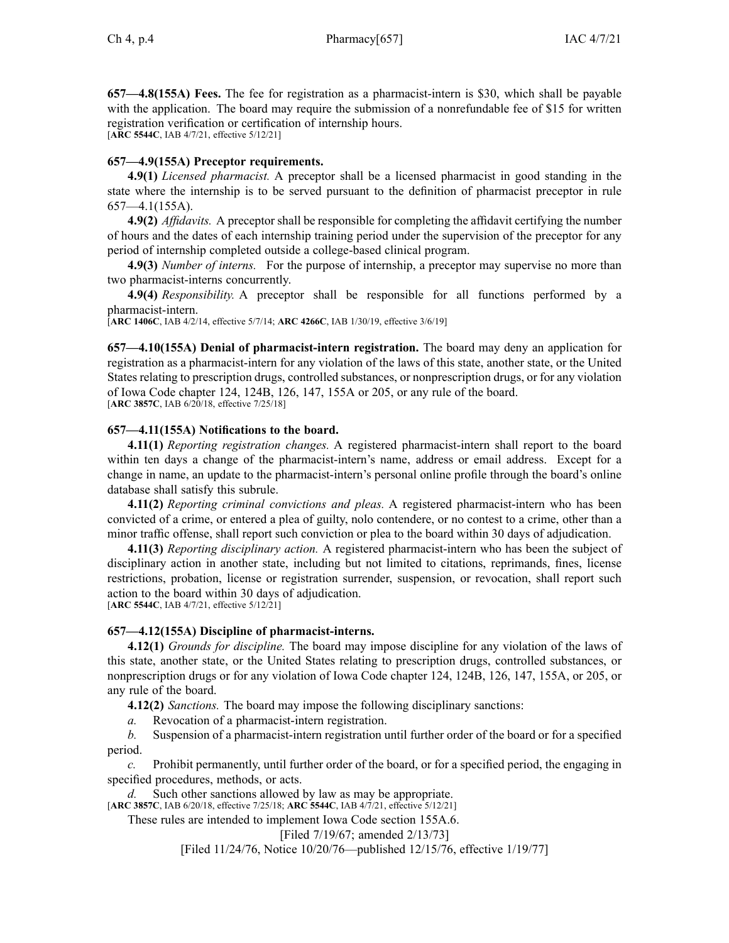**657—4.8(155A) Fees.** The fee for registration as <sup>a</sup> pharmacist-intern is \$30, which shall be payable with the application. The board may require the submission of a nonrefundable fee of \$15 for written registration verification or certification of internship hours.

[**ARC [5544C](https://www.legis.iowa.gov/docs/aco/arc/5544C.pdf)**, IAB 4/7/21, effective 5/12/21]

## **657—4.9(155A) Preceptor requirements.**

**4.9(1)** *Licensed pharmacist.* A preceptor shall be <sup>a</sup> licensed pharmacist in good standing in the state where the internship is to be served pursuan<sup>t</sup> to the definition of pharmacist preceptor in rule [657—4.1\(](https://www.legis.iowa.gov/docs/iac/rule/657.4.1.pdf)155A).

**4.9(2)** *Affidavits.* A preceptor shall be responsible for completing the affidavit certifying the number of hours and the dates of each internship training period under the supervision of the preceptor for any period of internship completed outside <sup>a</sup> college-based clinical program.

**4.9(3)** *Number of interns.* For the purpose of internship, <sup>a</sup> preceptor may supervise no more than two pharmacist-interns concurrently.

**4.9(4)** *Responsibility.* A preceptor shall be responsible for all functions performed by <sup>a</sup> pharmacist-intern.

[**ARC [1406C](https://www.legis.iowa.gov/docs/aco/arc/1406C.pdf)**, IAB 4/2/14, effective 5/7/14; **ARC [4266C](https://www.legis.iowa.gov/docs/aco/arc/4266C.pdf)**, IAB 1/30/19, effective 3/6/19]

**657—4.10(155A) Denial of pharmacist-intern registration.** The board may deny an application for registration as <sup>a</sup> pharmacist-intern for any violation of the laws of this state, another state, or the United States relating to prescription drugs, controlled substances, or nonprescription drugs, or for any violation of Iowa Code chapter [124](https://www.legis.iowa.gov/docs/ico/chapter/124.pdf), [124B](https://www.legis.iowa.gov/docs/ico/chapter/124B.pdf), [126](https://www.legis.iowa.gov/docs/ico/chapter/126.pdf), [147](https://www.legis.iowa.gov/docs/ico/chapter/147.pdf), [155A](https://www.legis.iowa.gov/docs/ico/chapter/155A.pdf) or [205](https://www.legis.iowa.gov/docs/ico/chapter/205.pdf), or any rule of the board. [**ARC [3857C](https://www.legis.iowa.gov/docs/aco/arc/3857C.pdf)**, IAB 6/20/18, effective 7/25/18]

## **657—4.11(155A) Notifications to the board.**

**4.11(1)** *Reporting registration changes.* A registered pharmacist-intern shall repor<sup>t</sup> to the board within ten days <sup>a</sup> change of the pharmacist-intern's name, address or email address. Except for <sup>a</sup> change in name, an update to the pharmacist-intern's personal online profile through the board's online database shall satisfy this subrule.

**4.11(2)** *Reporting criminal convictions and pleas.* A registered pharmacist-intern who has been convicted of <sup>a</sup> crime, or entered <sup>a</sup> plea of guilty, nolo contendere, or no contest to <sup>a</sup> crime, other than <sup>a</sup> minor traffic offense, shall repor<sup>t</sup> such conviction or plea to the board within 30 days of adjudication.

**4.11(3)** *Reporting disciplinary action.* A registered pharmacist-intern who has been the subject of disciplinary action in another state, including but not limited to citations, reprimands, fines, license restrictions, probation, license or registration surrender, suspension, or revocation, shall repor<sup>t</sup> such action to the board within 30 days of adjudication.

[**ARC [5544C](https://www.legis.iowa.gov/docs/aco/arc/5544C.pdf)**, IAB 4/7/21, effective 5/12/21]

### **657—4.12(155A) Discipline of pharmacist-interns.**

**4.12(1)** *Grounds for discipline.* The board may impose discipline for any violation of the laws of this state, another state, or the United States relating to prescription drugs, controlled substances, or nonprescription drugs or for any violation of Iowa Code chapter [124](https://www.legis.iowa.gov/docs/ico/chapter/124.pdf), [124B](https://www.legis.iowa.gov/docs/ico/chapter/124B.pdf), [126](https://www.legis.iowa.gov/docs/ico/chapter/126.pdf), [147](https://www.legis.iowa.gov/docs/ico/chapter/147.pdf), [155A](https://www.legis.iowa.gov/docs/ico/chapter/155A.pdf), or [205](https://www.legis.iowa.gov/docs/ico/chapter/205.pdf), or any rule of the board.

**4.12(2)** *Sanctions.* The board may impose the following disciplinary sanctions:

*a.* Revocation of <sup>a</sup> pharmacist-intern registration.

*b.* Suspension of <sup>a</sup> pharmacist-intern registration until further order of the board or for <sup>a</sup> specified period.

*c.* Prohibit permanently, until further order of the board, or for <sup>a</sup> specified period, the engaging in specified procedures, methods, or acts.

*d.* Such other sanctions allowed by law as may be appropriate.

[**ARC [3857C](https://www.legis.iowa.gov/docs/aco/arc/3857C.pdf)**, IAB 6/20/18, effective 7/25/18; **ARC [5544C](https://www.legis.iowa.gov/docs/aco/arc/5544C.pdf)**, IAB 4/7/21, effective 5/12/21]

These rules are intended to implement Iowa Code section [155A.6](https://www.legis.iowa.gov/docs/ico/section/155A.6.pdf).

[Filed 7/19/67; amended 2/13/73]

[Filed 11/24/76, Notice 10/20/76—published 12/15/76, effective 1/19/77]